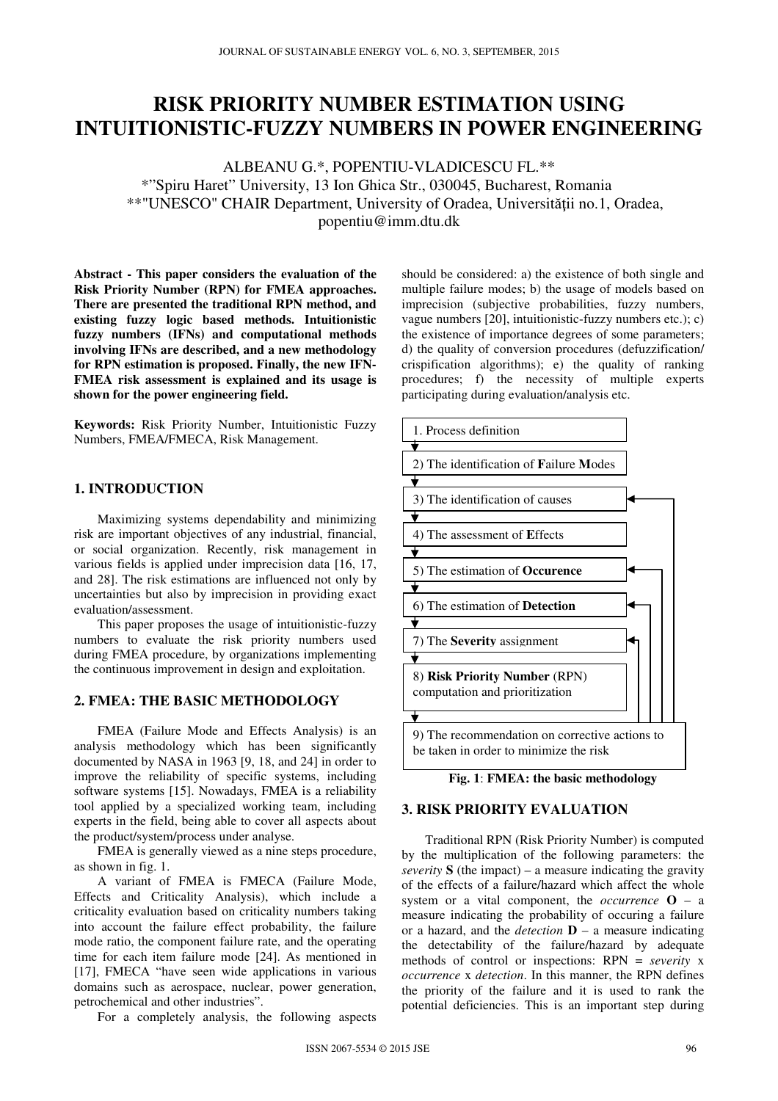# **RISK PRIORITY NUMBER ESTIMATION USING INTUITIONISTIC-FUZZY NUMBERS IN POWER ENGINEERING**

ALBEANU G.\*, POPENTIU-VLADICESCU FL.\*\* \*"Spiru Haret" University, 13 Ion Ghica Str., 030045, Bucharest, Romania \*\*"UNESCO" CHAIR Department, University of Oradea, Universităţii no.1, Oradea, popentiu@imm.dtu.dk

**Abstract - This paper considers the evaluation of the Risk Priority Number (RPN) for FMEA approaches. There are presented the traditional RPN method, and existing fuzzy logic based methods. Intuitionistic fuzzy numbers (IFNs) and computational methods involving IFNs are described, and a new methodology for RPN estimation is proposed. Finally, the new IFN-FMEA risk assessment is explained and its usage is shown for the power engineering field.** 

**Keywords:** Risk Priority Number, Intuitionistic Fuzzy Numbers, FMEA/FMECA, Risk Management.

### **1. INTRODUCTION**

Maximizing systems dependability and minimizing risk are important objectives of any industrial, financial, or social organization. Recently, risk management in various fields is applied under imprecision data [16, 17, and 28]. The risk estimations are influenced not only by uncertainties but also by imprecision in providing exact evaluation/assessment.

This paper proposes the usage of intuitionistic-fuzzy numbers to evaluate the risk priority numbers used during FMEA procedure, by organizations implementing the continuous improvement in design and exploitation.

## **2. FMEA: THE BASIC METHODOLOGY**

FMEA (Failure Mode and Effects Analysis) is an analysis methodology which has been significantly documented by NASA in 1963 [9, 18, and 24] in order to improve the reliability of specific systems, including software systems [15]. Nowadays, FMEA is a reliability tool applied by a specialized working team, including experts in the field, being able to cover all aspects about the product/system/process under analyse.

FMEA is generally viewed as a nine steps procedure, as shown in fig. 1.

A variant of FMEA is FMECA (Failure Mode, Effects and Criticality Analysis), which include a criticality evaluation based on criticality numbers taking into account the failure effect probability, the failure mode ratio, the component failure rate, and the operating time for each item failure mode [24]. As mentioned in [17], FMECA "have seen wide applications in various domains such as aerospace, nuclear, power generation, petrochemical and other industries".

For a completely analysis, the following aspects

should be considered: a) the existence of both single and multiple failure modes; b) the usage of models based on imprecision (subjective probabilities, fuzzy numbers, vague numbers [20], intuitionistic-fuzzy numbers etc.); c) the existence of importance degrees of some parameters; d) the quality of conversion procedures (defuzzification/ crispification algorithms); e) the quality of ranking procedures; f) the necessity of multiple experts participating during evaluation/analysis etc.



## **Fig. 1**: **FMEA: the basic methodology**

## **3. RISK PRIORITY EVALUATION**

Traditional RPN (Risk Priority Number) is computed by the multiplication of the following parameters: the *severity*  $S$  (the impact) – a measure indicating the gravity of the effects of a failure/hazard which affect the whole system or a vital component, the *occurrence* **O** – a measure indicating the probability of occuring a failure or a hazard, and the *detection* **D** – a measure indicating the detectability of the failure/hazard by adequate methods of control or inspections: RPN = *severity* x *occurrence* x *detection*. In this manner, the RPN defines the priority of the failure and it is used to rank the potential deficiencies. This is an important step during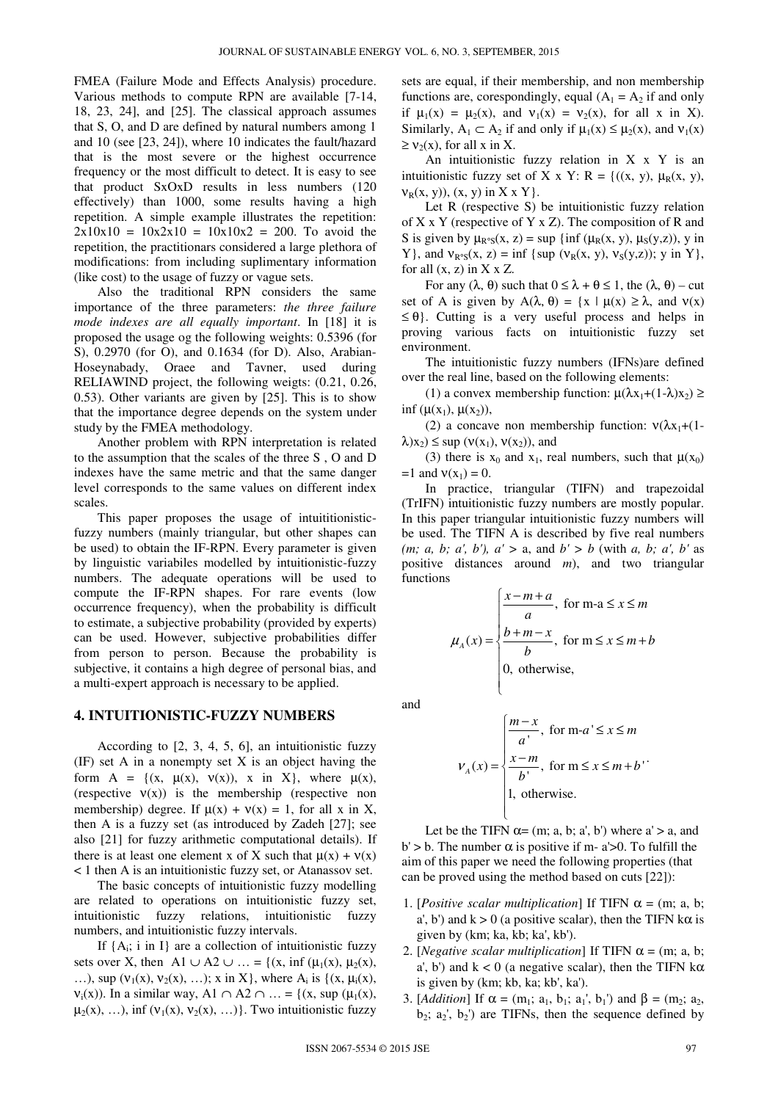FMEA (Failure Mode and Effects Analysis) procedure. Various methods to compute RPN are available [7-14, 18, 23, 24], and [25]. The classical approach assumes that S, O, and D are defined by natural numbers among 1 and 10 (see [23, 24]), where 10 indicates the fault/hazard that is the most severe or the highest occurrence frequency or the most difficult to detect. It is easy to see that product SxOxD results in less numbers (120 effectively) than 1000, some results having a high repetition. A simple example illustrates the repetition:  $2x10x10 = 10x2x10 = 10x10x2 = 200$ . To avoid the repetition, the practitionars considered a large plethora of modifications: from including suplimentary information (like cost) to the usage of fuzzy or vague sets.

Also the traditional RPN considers the same importance of the three parameters: *the three failure mode indexes are all equally important*. In [18] it is proposed the usage og the following weights: 0.5396 (for S), 0.2970 (for O), and 0.1634 (for D). Also, Arabian-Hoseynabady, Oraee and Tavner, used during RELIAWIND project, the following weigts: (0.21, 0.26, 0.53). Other variants are given by [25]. This is to show that the importance degree depends on the system under study by the FMEA methodology.

Another problem with RPN interpretation is related to the assumption that the scales of the three S , O and D indexes have the same metric and that the same danger level corresponds to the same values on different index scales.

This paper proposes the usage of intuititionisticfuzzy numbers (mainly triangular, but other shapes can be used) to obtain the IF-RPN. Every parameter is given by linguistic variabiles modelled by intuitionistic-fuzzy numbers. The adequate operations will be used to compute the IF-RPN shapes. For rare events (low occurrence frequency), when the probability is difficult to estimate, a subjective probability (provided by experts) can be used. However, subjective probabilities differ from person to person. Because the probability is subjective, it contains a high degree of personal bias, and a multi-expert approach is necessary to be applied.

#### **4. INTUITIONISTIC-FUZZY NUMBERS**

According to [2, 3, 4, 5, 6], an intuitionistic fuzzy (IF) set A in a nonempty set X is an object having the form  $A = \{(x, \mu(x), v(x)), x \in X\}$ , where  $\mu(x)$ , (respective  $v(x)$ ) is the membership (respective non membership) degree. If  $\mu(x) + \nu(x) = 1$ , for all x in X, then A is a fuzzy set (as introduced by Zadeh [27]; see also [21] for fuzzy arithmetic computational details). If there is at least one element x of X such that  $\mu(x) + \nu(x)$ < 1 then A is an intuitionistic fuzzy set, or Atanassov set.

The basic concepts of intuitionistic fuzzy modelling are related to operations on intuitionistic fuzzy set, intuitionistic fuzzy relations, intuitionistic fuzzy numbers, and intuitionistic fuzzy intervals.

If  $\{A_i; i \in I\}$  are a collection of intuitionistic fuzzy sets over X, then A1 ∪ A2 ∪ … = {(x, inf ( $\mu_1(x)$ ,  $\mu_2(x)$ , ...), sup  $(v_1(x), v_2(x), ...)$ ; x in X}, where  $A_i$  is  $\{(x, \mu_i(x), ...)$  $v_i(x)$ ). In a similar way, A1 ∩ A2 ∩ … = {(x, sup ( $\mu_1(x)$ ,  $\mu_2(x), \ldots$ ), inf  $(v_1(x), v_2(x), \ldots)$ . Two intuitionistic fuzzy

sets are equal, if their membership, and non membership functions are, corespondingly, equal  $(A_1 = A_2$  if and only if  $\mu_1(x) = \mu_2(x)$ , and  $\nu_1(x) = \nu_2(x)$ , for all x in X). Similarly,  $A_1 \subset A_2$  if and only if  $\mu_1(x) \leq \mu_2(x)$ , and  $v_1(x)$  $\geq$   $v_2(x)$ , for all x in X.

An intuitionistic fuzzy relation in  $X \times Y$  is an intuitionistic fuzzy set of X x Y: R = { $((x, y), \mu_R(x, y),$  $v_R(x, y)$ ,  $(x, y)$  in  $X \times Y$ .

Let R (respective S) be intuitionistic fuzzy relation of  $X \times Y$  (respective of  $Y \times Z$ ). The composition of R and S is given by  $\mu_{R^{\circ}S}(x, z) = \sup \{ \inf (\mu_R(x, y), \mu_S(y, z)), y \in \mathbb{R} \}$ Y}, and  $v_{R^{\circ}S}(x, z) = \inf \{ \sup (v_R(x, y), v_S(y, z)) ; y \in Y \}$ , for all  $(x, z)$  in  $X \times Z$ .

For any  $(\lambda, \theta)$  such that  $0 \leq \lambda + \theta \leq 1$ , the  $(\lambda, \theta)$  – cut set of A is given by  $A(\lambda, \theta) = \{x \mid \mu(x) \ge \lambda, \text{ and } \nu(x) \}$  $\leq \theta$ . Cutting is a very useful process and helps in proving various facts on intuitionistic fuzzy set environment.

The intuitionistic fuzzy numbers (IFNs)are defined over the real line, based on the following elements:

(1) a convex membership function:  $\mu(\lambda x_1+(1-\lambda)x_2) \ge$ inf  $(\mu(x_1), \mu(x_2)),$ 

(2) a concave non membership function:  $v(\lambda x_1+(1-\lambda)x_2)$  $\lambda$ )x<sub>2</sub>)  $\leq$  sup ( $v(x_1)$ ,  $v(x_2)$ ), and

(3) there is  $x_0$  and  $x_1$ , real numbers, such that  $\mu(x_0)$ =1 and  $v(x_1) = 0$ .

In practice, triangular (TIFN) and trapezoidal (TrIFN) intuitionistic fuzzy numbers are mostly popular. In this paper triangular intuitionistic fuzzy numbers will be used. The TIFN A is described by five real numbers *(m; a, b; a', b'), a' >* a, and *b' > b* (with *a, b; a', b'* as positive distances around *m*), and two triangular functions

$$
\mu_A(x) = \begin{cases}\n\frac{x-m+a}{a}, & \text{for } m-a \le x \le m \\
\frac{b+m-x}{b}, & \text{for } m \le x \le m+b \\
0, & \text{otherwise,} \n\end{cases}
$$

and

$$
V_A(x) = \begin{cases} \frac{m-x}{a}, & \text{for } m-a' \le x \le m \\ \frac{x-m}{b}, & \text{for } m \le x \le m+b \\ 1, & \text{otherwise.} \end{cases}
$$

 $\mathfrak{t}$ 

Let be the TIFN  $\alpha = (m; a, b; a', b')$  where  $a' > a$ , and b' > b. The number  $\alpha$  is positive if m- a' > 0. To fulfill the aim of this paper we need the following properties (that can be proved using the method based on cuts [22]):

- 1. [*Positive scalar multiplication*] If TIFN  $\alpha = (m; a, b;$ a', b') and  $k > 0$  (a positive scalar), then the TIFN k $\alpha$  is given by (km; ka, kb; ka', kb').
- 2. [*Negative scalar multiplication*] If TIFN  $\alpha = (m; a, b; c)$ a', b') and  $k < 0$  (a negative scalar), then the TIFN k $\alpha$ is given by (km; kb, ka; kb', ka').
- 3. [*Addition*] If  $\alpha = (m_1; a_1, b_1; a_1', b_1')$  and  $\beta = (m_2; a_2,$  $b_2$ ;  $a_2$ ',  $b_2$ ') are TIFNs, then the sequence defined by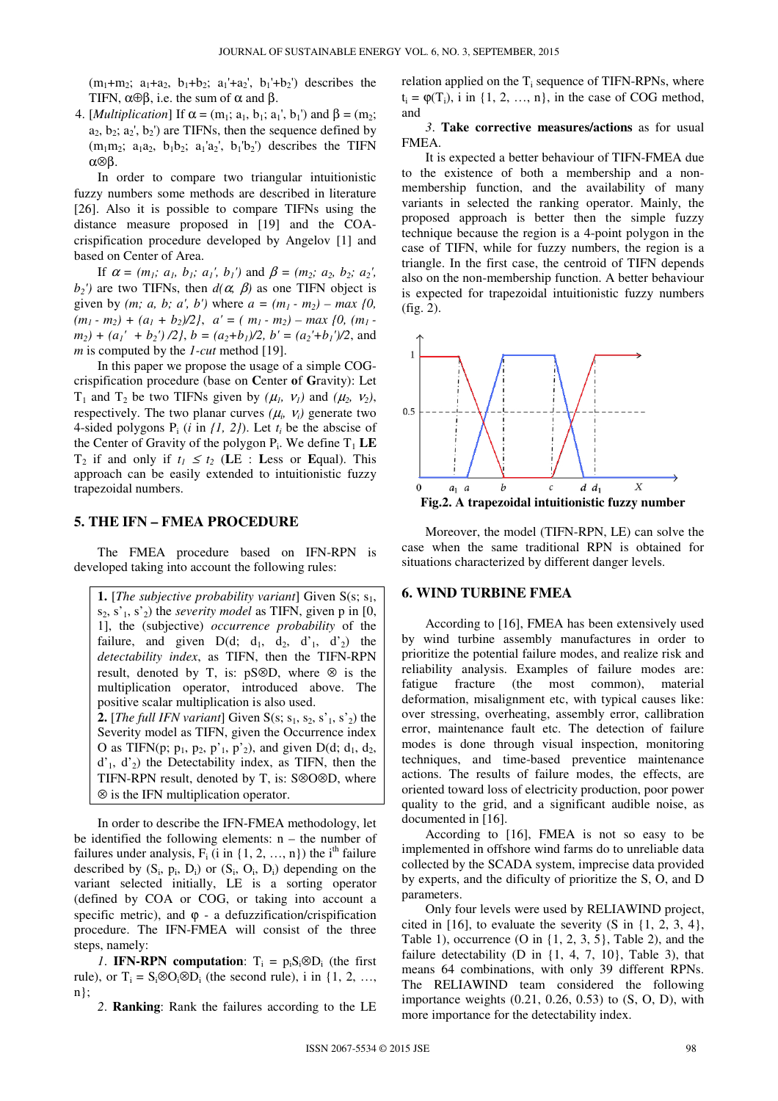$(m_1+m_2; a_1+a_2, b_1+b_2; a_1+a_2, b_1+b_2)$  describes the TIFN,  $\alpha \oplus \beta$ , i.e. the sum of  $\alpha$  and  $\beta$ .

4. [*Multiplication*] If  $\alpha = (m_1; a_1, b_1; a_1', b_1')$  and  $\beta = (m_2;$  $a_2, b_2; a_2, b_2$  are TIFNs, then the sequence defined by  $(m_1m_2; a_1a_2, b_1b_2; a_1'a_2, b_1'b_2)$  describes the TIFN α⊗β.

In order to compare two triangular intuitionistic fuzzy numbers some methods are described in literature [26]. Also it is possible to compare TIFNs using the distance measure proposed in [19] and the COAcrispification procedure developed by Angelov [1] and based on Center of Area.

If  $\alpha = (m_1; a_1, b_1; a_1, b_1')$  and  $\beta = (m_2; a_2, b_2; a_2')$ , *b*<sub>2</sub><sup> $'$ </sup>) are two TIFNs, then *d*( $\alpha$ *, β*) as one TIFN object is given by *(m; a, b; a', b')* where  $a = (m_1 - m_2) - max$  *{0, \onegrigma}*  $(m_1 - m_2) + (a_1 + b_2)/2$ ,  $a' = (m_1 - m_2) - max$  {0,  $(m_1 - m_2)$ }  $m_2$ ) +  $(a_1' + b_2')$  /2},  $b = (a_2 + b_1)/2$ ,  $b' = (a_2' + b_1')/2$ , and *m* is computed by the *1-cut* method [19].

In this paper we propose the usage of a simple COGcrispification procedure (base on **C**enter **o**f **G**ravity): Let T<sub>1</sub> and T<sub>2</sub> be two TIFNs given by  $(\mu_1, \nu_1)$  and  $(\mu_2, \nu_2)$ , respectively. The two planar curves  $(\mu_i, \nu_i)$  generate two 4-sided polygons  $P_i$  (*i* in  $\{1, 2\}$ ). Let  $t_i$  be the abscise of the Center of Gravity of the polygon  $P_i$ . We define  $T_1$  **LE** T<sub>2</sub> if and only if  $t_1 \le t_2$  (LE : Less or Equal). This approach can be easily extended to intuitionistic fuzzy trapezoidal numbers.

#### **5. THE IFN – FMEA PROCEDURE**

The FMEA procedure based on IFN-RPN is developed taking into account the following rules:

**1.** [*The subjective probability variant*] Given  $S(s; s_1, s_2)$  $s_2$ ,  $s'_1$ ,  $s'_2$ ) the *severity model* as TIFN, given p in [0, 1], the (subjective) *occurrence probability* of the failure, and given  $D(d; d_1, d_2, d'_1, d'_2)$  the *detectability index*, as TIFN, then the TIFN-RPN result, denoted by T, is: pS⊗D, where ⊗ is the multiplication operator, introduced above. The positive scalar multiplication is also used. **2.** [*The full IFN variant*] Given S(s;  $s_1$ ,  $s_2$ ,  $s'$ <sub>1</sub>,  $s'$ <sub>2</sub>) the Severity model as TIFN, given the Occurrence index O as TIFN(p;  $p_1$ ,  $p_2$ ,  $p'_1$ ,  $p'_2$ ), and given D(d;  $d_1$ ,  $d_2$ ,  $d'_1$ ,  $d'_2$ ) the Detectability index, as TIFN, then the TIFN-RPN result, denoted by T, is: S⊗O⊗D, where ⊗ is the IFN multiplication operator.

In order to describe the IFN-FMEA methodology, let be identified the following elements:  $n -$  the number of failures under analysis,  $F_i$  (i in {1, 2, ..., n}) the i<sup>th</sup> failure described by  $(S_i, p_i, D_i)$  or  $(S_i, O_i, D_i)$  depending on the variant selected initially, LE is a sorting operator (defined by COA or COG, or taking into account a specific metric), and  $\varphi$  - a defuzzification/crispification procedure. The IFN-FMEA will consist of the three steps, namely:

*1*. **IFN-RPN** computation:  $T_i = p_i S_i \otimes D_i$  (the first rule), or  $T_i = S_i \otimes O_i \otimes D_i$  (the second rule), i in {1, 2, ..., n};

*2*. **Ranking**: Rank the failures according to the LE

relation applied on the  $T_i$  sequence of TIFN-RPNs, where  $t_i = \varphi(T_i)$ , i in  $\{1, 2, ..., n\}$ , in the case of COG method, and

*3*. **Take corrective measures/actions** as for usual FMEA.

It is expected a better behaviour of TIFN-FMEA due to the existence of both a membership and a nonmembership function, and the availability of many variants in selected the ranking operator. Mainly, the proposed approach is better then the simple fuzzy technique because the region is a 4-point polygon in the case of TIFN, while for fuzzy numbers, the region is a triangle. In the first case, the centroid of TIFN depends also on the non-membership function. A better behaviour is expected for trapezoidal intuitionistic fuzzy numbers (fig. 2).



Moreover, the model (TIFN-RPN, LE) can solve the case when the same traditional RPN is obtained for situations characterized by different danger levels.

#### **6. WIND TURBINE FMEA**

According to [16], FMEA has been extensively used by wind turbine assembly manufactures in order to prioritize the potential failure modes, and realize risk and reliability analysis. Examples of failure modes are: fatigue fracture (the most common), material deformation, misalignment etc, with typical causes like: over stressing, overheating, assembly error, callibration error, maintenance fault etc. The detection of failure modes is done through visual inspection, monitoring techniques, and time-based preventice maintenance actions. The results of failure modes, the effects, are oriented toward loss of electricity production, poor power quality to the grid, and a significant audible noise, as documented in [16].

According to [16], FMEA is not so easy to be implemented in offshore wind farms do to unreliable data collected by the SCADA system, imprecise data provided by experts, and the dificulty of prioritize the S, O, and D parameters.

Only four levels were used by RELIAWIND project, cited in  $[16]$ , to evaluate the severity  $(S \text{ in } \{1, 2, 3, 4\})$ , Table 1), occurrence  $(0 \text{ in } \{1, 2, 3, 5\}, \text{Table 2})$ , and the failure detectability (D in  $\{1, 4, 7, 10\}$ , Table 3), that means 64 combinations, with only 39 different RPNs. The RELIAWIND team considered the following importance weights  $(0.21, 0.26, 0.53)$  to  $(S, O, D)$ , with more importance for the detectability index.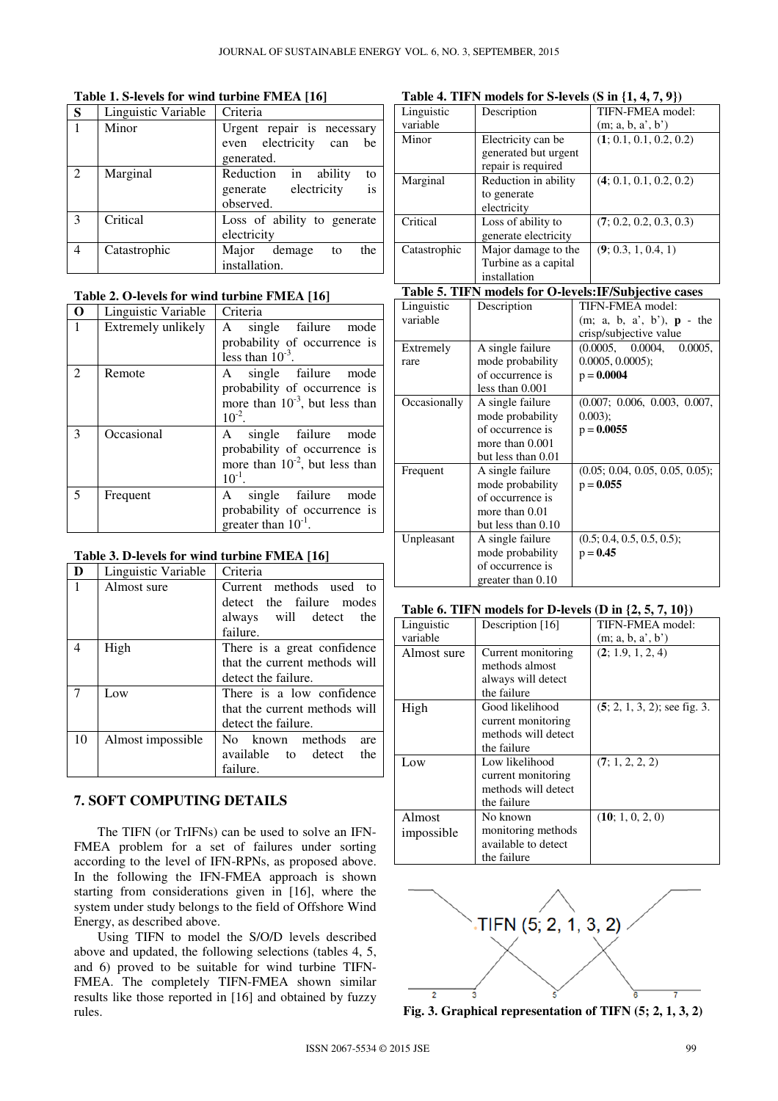## **Table 1. S-levels for wind turbine FMEA [16]**

| S              | Linguistic Variable | Criteria                    |
|----------------|---------------------|-----------------------------|
|                | Minor               | Urgent repair is necessary  |
|                |                     | even electricity can<br>be  |
|                |                     | generated.                  |
| $\overline{2}$ | Marginal            | Reduction in ability<br>to  |
|                |                     | is<br>generate electricity  |
|                |                     | observed.                   |
| 3              | Critical            | Loss of ability to generate |
|                |                     | electricity                 |
| $\overline{4}$ | Catastrophic        | Major demage<br>the<br>to   |
|                |                     | installation.               |

## **Table 2. O-levels for wind turbine FMEA [16]**

| O                           | Linguistic Variable | Criteria                            |  |
|-----------------------------|---------------------|-------------------------------------|--|
| 1                           | Extremely unlikely  | single failure mode<br>A            |  |
|                             |                     | probability of occurrence is        |  |
|                             |                     | less than $10^{-3}$ .               |  |
| $\mathcal{D}_{\mathcal{L}}$ | Remote              | A single failure mode               |  |
|                             |                     | probability of occurrence is        |  |
|                             |                     | more than $10^{-3}$ , but less than |  |
|                             |                     | $10^{-2}$ .                         |  |
| 3                           | Occasional          | single failure mode<br>A            |  |
|                             |                     | probability of occurrence is        |  |
|                             |                     | more than $10^{-2}$ , but less than |  |
|                             |                     | $10^{-1}$ .                         |  |
| 5                           | Frequent            | single failure mode<br>A            |  |
|                             |                     | probability of occurrence is        |  |
|                             |                     | greater than $10^{-1}$ .            |  |

## **Table 3. D-levels for wind turbine FMEA [16]**

| D  | Linguistic Variable | Criteria                      |  |
|----|---------------------|-------------------------------|--|
| 1  | Almost sure         | Current methods used<br>to    |  |
|    |                     | detect the failure modes      |  |
|    |                     | always will detect<br>the     |  |
|    |                     | failure.                      |  |
| 4  | High                | There is a great confidence   |  |
|    |                     | that the current methods will |  |
|    |                     | detect the failure.           |  |
| 7  | Low                 | There is a low confidence     |  |
|    |                     | that the current methods will |  |
|    |                     | detect the failure.           |  |
| 10 | Almost impossible   | No known methods<br>are       |  |
|    |                     | available to detect<br>the    |  |
|    |                     | failure.                      |  |

## **7. SOFT COMPUTING DETAILS**

The TIFN (or TrIFNs) can be used to solve an IFN-FMEA problem for a set of failures under sorting according to the level of IFN-RPNs, as proposed above. In the following the IFN-FMEA approach is shown starting from considerations given in [16], where the system under study belongs to the field of Offshore Wind Energy, as described above.

Using TIFN to model the S/O/D levels described above and updated, the following selections (tables 4, 5, and 6) proved to be suitable for wind turbine TIFN-FMEA. The completely TIFN-FMEA shown similar results like those reported in [16] and obtained by fuzzy rules.

## **Table 4. TIFN models for S-levels (S in {1, 4, 7, 9})**

| $\frac{1}{2}$ |                      |                         |
|---------------|----------------------|-------------------------|
| Linguistic    | Description          | TIFN-FMEA model:        |
| variable      |                      | (m; a, b, a', b')       |
| Minor         | Electricity can be   | (1; 0.1, 0.1, 0.2, 0.2) |
|               | generated but urgent |                         |
|               | repair is required   |                         |
| Marginal      | Reduction in ability | (4; 0.1, 0.1, 0.2, 0.2) |
|               | to generate          |                         |
|               | electricity          |                         |
| Critical      | Loss of ability to   | (7; 0.2, 0.2, 0.3, 0.3) |
|               | generate electricity |                         |
| Catastrophic  | Major damage to the  | (9; 0.3, 1, 0.4, 1)     |
|               | Turbine as a capital |                         |
|               | installation         |                         |

## **Table 5. TIFN models for O-levels:IF/Subjective cases**

| Linguistic<br>variable | Description                                                                                       | TIFN-FMEA model:<br>$(m; a, b, a', b')$ , $p - the$<br>crisp/subjective value |
|------------------------|---------------------------------------------------------------------------------------------------|-------------------------------------------------------------------------------|
| Extremely<br>rare      | A single failure<br>mode probability<br>of occurrence is<br>less than $0.001$                     | (0.0005, 0.0004, 0.0005,<br>$0.0005, 0.0005$ ;<br>$p = 0.0004$                |
| Occasionally           | A single failure<br>mode probability<br>of occurrence is<br>more than 0.001<br>but less than 0.01 | (0.007; 0.006, 0.003, 0.007,<br>$0.003$ ;<br>$p = 0.0055$                     |
| Frequent               | A single failure<br>mode probability<br>of occurrence is<br>more than 0.01<br>but less than 0.10  | (0.05; 0.04, 0.05, 0.05, 0.05);<br>$p = 0.055$                                |
| Unpleasant             | A single failure<br>mode probability<br>of occurrence is<br>greater than 0.10                     | (0.5; 0.4, 0.5, 0.5, 0.5);<br>$p = 0.45$                                      |

### **Table 6. TIFN models for D-levels (D in {2, 5, 7, 10})**

| Linguistic  | Description [16]    | TIFN-FMEA model:                |
|-------------|---------------------|---------------------------------|
| variable    |                     | (m; a, b, a', b')               |
| Almost sure | Current monitoring  | (2; 1.9, 1, 2, 4)               |
|             | methods almost      |                                 |
|             | always will detect  |                                 |
|             | the failure         |                                 |
| High        | Good likelihood     | $(5; 2, 1, 3, 2)$ ; see fig. 3. |
|             | current monitoring  |                                 |
|             | methods will detect |                                 |
|             | the failure         |                                 |
| Low         | Low likelihood      | (7; 1, 2, 2, 2)                 |
|             | current monitoring  |                                 |
|             | methods will detect |                                 |
|             | the failure         |                                 |
| Almost      | No known            | (10; 1, 0, 2, 0)                |
| impossible  | monitoring methods  |                                 |
|             | available to detect |                                 |
|             | the failure         |                                 |



**Fig. 3. Graphical representation of TIFN (5; 2, 1, 3, 2)**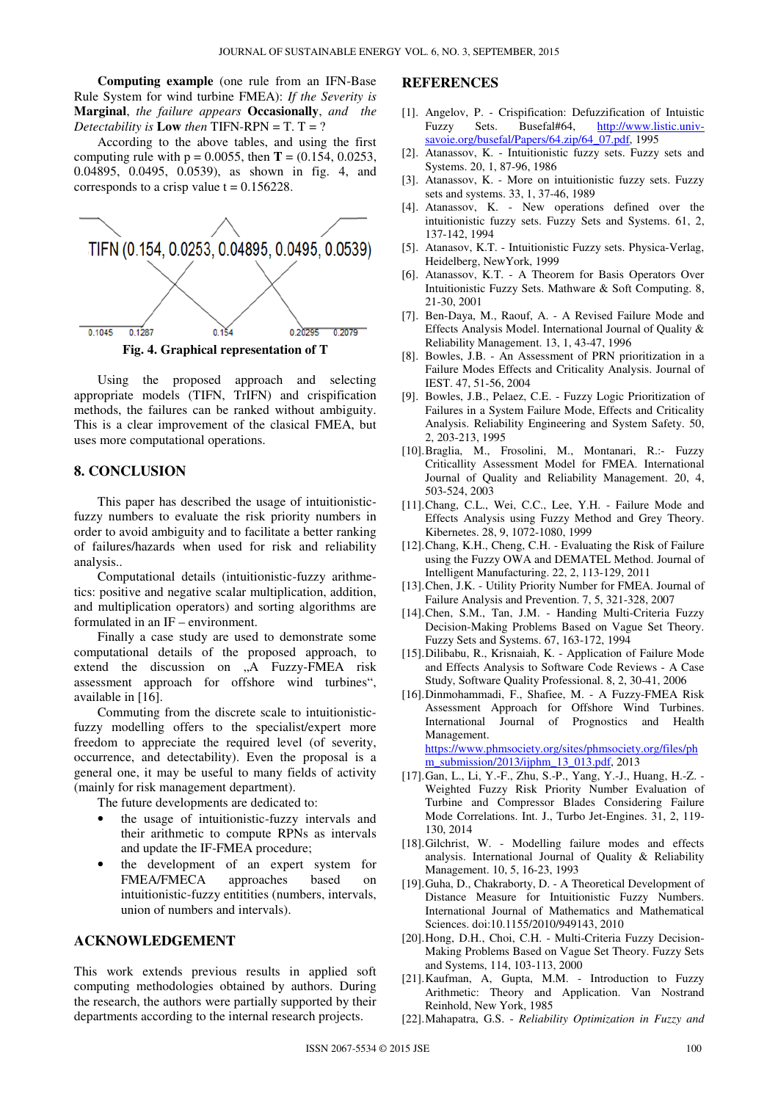**Computing example** (one rule from an IFN-Base Rule System for wind turbine FMEA): *If the Severity is*  **Marginal**, *the failure appears* **Occasionally**, *and the Detectability is* **Low** *then* TIFN-RPN = T. T = ?

According to the above tables, and using the first computing rule with  $p = 0.0055$ , then **T** = (0.154, 0.0253, 0.04895, 0.0495, 0.0539), as shown in fig. 4, and corresponds to a crisp value  $t = 0.156228$ .



Using the proposed approach and selecting appropriate models (TIFN, TrIFN) and crispification methods, the failures can be ranked without ambiguity. This is a clear improvement of the clasical FMEA, but uses more computational operations.

#### **8. CONCLUSION**

This paper has described the usage of intuitionisticfuzzy numbers to evaluate the risk priority numbers in order to avoid ambiguity and to facilitate a better ranking of failures/hazards when used for risk and reliability analysis..

Computational details (intuitionistic-fuzzy arithmetics: positive and negative scalar multiplication, addition, and multiplication operators) and sorting algorithms are formulated in an IF – environment.

Finally a case study are used to demonstrate some computational details of the proposed approach, to extend the discussion on "A Fuzzy-FMEA risk assessment approach for offshore wind turbines", available in [16].

Commuting from the discrete scale to intuitionisticfuzzy modelling offers to the specialist/expert more freedom to appreciate the required level (of severity, occurrence, and detectability). Even the proposal is a general one, it may be useful to many fields of activity (mainly for risk management department).

The future developments are dedicated to:

- the usage of intuitionistic-fuzzy intervals and their arithmetic to compute RPNs as intervals and update the IF-FMEA procedure;
- the development of an expert system for FMEA/FMECA approaches based on intuitionistic-fuzzy entitities (numbers, intervals, union of numbers and intervals).

#### **ACKNOWLEDGEMENT**

This work extends previous results in applied soft computing methodologies obtained by authors. During the research, the authors were partially supported by their departments according to the internal research projects.

#### **REFERENCES**

- [1]. Angelov, P. Crispification: Defuzzification of Intuistic Fuzzy Sets. Busefal#64, http://www.listic.univsavoie.org/busefal/Papers/64.zip/64\_07.pdf, 1995
- [2]. Atanassov, K. Intuitionistic fuzzy sets. Fuzzy sets and Systems. 20, 1, 87-96, 1986
- [3]. Atanassov, K. More on intuitionistic fuzzy sets. Fuzzy sets and systems. 33, 1, 37-46, 1989
- [4]. Atanassov, K. New operations defined over the intuitionistic fuzzy sets. Fuzzy Sets and Systems. 61, 2, 137-142, 1994
- [5]. Atanasov, K.T. Intuitionistic Fuzzy sets. Physica-Verlag, Heidelberg, NewYork, 1999
- [6]. Atanassov, K.T. A Theorem for Basis Operators Over Intuitionistic Fuzzy Sets. Mathware & Soft Computing. 8, 21-30, 2001
- [7]. Ben-Daya, M., Raouf, A. A Revised Failure Mode and Effects Analysis Model. International Journal of Quality & Reliability Management. 13, 1, 43-47, 1996
- [8]. Bowles, J.B. An Assessment of PRN prioritization in a Failure Modes Effects and Criticality Analysis. Journal of IEST. 47, 51-56, 2004
- [9]. Bowles, J.B., Pelaez, C.E. Fuzzy Logic Prioritization of Failures in a System Failure Mode, Effects and Criticality Analysis. Reliability Engineering and System Safety. 50, 2, 203-213, 1995
- [10].Braglia, M., Frosolini, M., Montanari, R.:- Fuzzy Criticallity Assessment Model for FMEA. International Journal of Quality and Reliability Management. 20, 4, 503-524, 2003
- [11].Chang, C.L., Wei, C.C., Lee, Y.H. Failure Mode and Effects Analysis using Fuzzy Method and Grey Theory. Kibernetes. 28, 9, 1072-1080, 1999
- [12].Chang, K.H., Cheng, C.H. Evaluating the Risk of Failure using the Fuzzy OWA and DEMATEL Method. Journal of Intelligent Manufacturing. 22, 2, 113-129, 2011
- [13].Chen, J.K. Utility Priority Number for FMEA. Journal of Failure Analysis and Prevention. 7, 5, 321-328, 2007
- [14].Chen, S.M., Tan, J.M. Handing Multi-Criteria Fuzzy Decision-Making Problems Based on Vague Set Theory. Fuzzy Sets and Systems. 67, 163-172, 1994
- [15].Dilibabu, R., Krisnaiah, K. Application of Failure Mode and Effects Analysis to Software Code Reviews - A Case Study, Software Quality Professional. 8, 2, 30-41, 2006
- [16].Dinmohammadi, F., Shafiee, M. A Fuzzy-FMEA Risk Assessment Approach for Offshore Wind Turbines. International Journal of Prognostics and Health Management. https://www.phmsociety.org/sites/phmsociety.org/files/ph m\_submission/2013/ijphm\_13\_013.pdf, 2013
- [17].Gan, L., Li, Y.-F., Zhu, S.-P., Yang, Y.-J., Huang, H.-Z. Weighted Fuzzy Risk Priority Number Evaluation of Turbine and Compressor Blades Considering Failure Mode Correlations. Int. J., Turbo Jet-Engines. 31, 2, 119- 130, 2014
- [18].Gilchrist, W. Modelling failure modes and effects analysis. International Journal of Quality & Reliability Management. 10, 5, 16-23, 1993
- [19]. Guha, D., Chakraborty, D. A Theoretical Development of Distance Measure for Intuitionistic Fuzzy Numbers. International Journal of Mathematics and Mathematical Sciences. doi:10.1155/2010/949143, 2010
- [20].Hong, D.H., Choi, C.H. Multi-Criteria Fuzzy Decision-Making Problems Based on Vague Set Theory. Fuzzy Sets and Systems, 114, 103-113, 2000
- [21].Kaufman, A, Gupta, M.M. Introduction to Fuzzy Arithmetic: Theory and Application. Van Nostrand Reinhold, New York, 1985
- [22].Mahapatra, G.S. *Reliability Optimization in Fuzzy and*